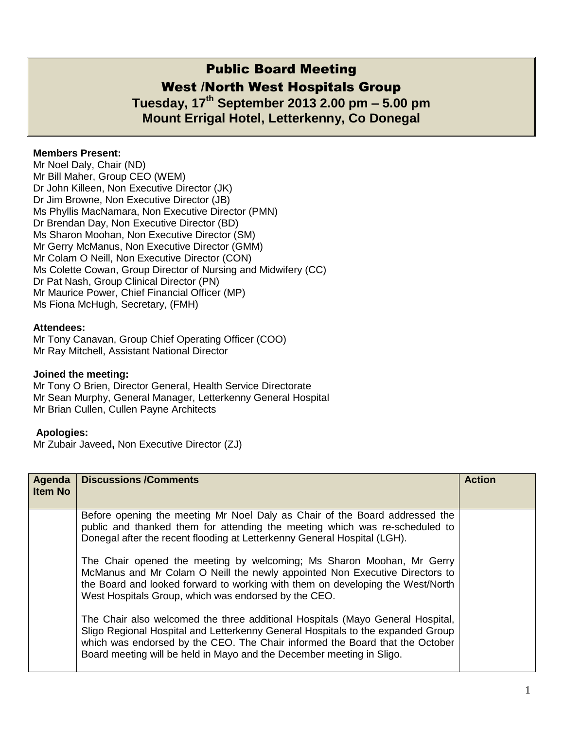# Public Board Meeting West /North West Hospitals Group **Tuesday, 17th September 2013 2.00 pm – 5.00 pm**

**Mount Errigal Hotel, Letterkenny, Co Donegal** 

## **Members Present:**

Mr Noel Daly, Chair (ND) Mr Bill Maher, Group CEO (WEM) Dr John Killeen, Non Executive Director (JK) Dr Jim Browne, Non Executive Director (JB) Ms Phyllis MacNamara, Non Executive Director (PMN) Dr Brendan Day, Non Executive Director (BD) Ms Sharon Moohan, Non Executive Director (SM) Mr Gerry McManus, Non Executive Director (GMM) Mr Colam O Neill, Non Executive Director (CON) Ms Colette Cowan, Group Director of Nursing and Midwifery (CC) Dr Pat Nash, Group Clinical Director (PN) Mr Maurice Power, Chief Financial Officer (MP) Ms Fiona McHugh, Secretary, (FMH)

### **Attendees:**

Mr Tony Canavan, Group Chief Operating Officer (COO) Mr Ray Mitchell, Assistant National Director

### **Joined the meeting:**

Mr Tony O Brien, Director General, Health Service Directorate Mr Sean Murphy, General Manager, Letterkenny General Hospital Mr Brian Cullen, Cullen Payne Architects

### **Apologies:**

Mr Zubair Javeed**,** Non Executive Director (ZJ)

| Agenda<br><b>Item No</b> | <b>Discussions /Comments</b>                                                                                                                                                                                                                                                                                               | <b>Action</b> |
|--------------------------|----------------------------------------------------------------------------------------------------------------------------------------------------------------------------------------------------------------------------------------------------------------------------------------------------------------------------|---------------|
|                          | Before opening the meeting Mr Noel Daly as Chair of the Board addressed the<br>public and thanked them for attending the meeting which was re-scheduled to<br>Donegal after the recent flooding at Letterkenny General Hospital (LGH).                                                                                     |               |
|                          | The Chair opened the meeting by welcoming; Ms Sharon Moohan, Mr Gerry<br>McManus and Mr Colam O Neill the newly appointed Non Executive Directors to<br>the Board and looked forward to working with them on developing the West/North<br>West Hospitals Group, which was endorsed by the CEO.                             |               |
|                          | The Chair also welcomed the three additional Hospitals (Mayo General Hospital,<br>Sligo Regional Hospital and Letterkenny General Hospitals to the expanded Group<br>which was endorsed by the CEO. The Chair informed the Board that the October<br>Board meeting will be held in Mayo and the December meeting in Sligo. |               |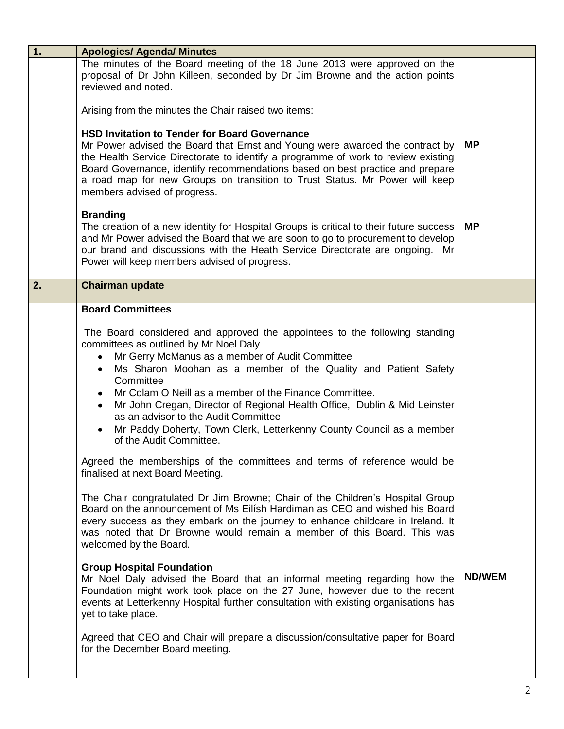| 1. | <b>Apologies/ Agenda/ Minutes</b>                                                                                                                                                                                                                                                                                                                                                                                                                                                                                                                                                    |               |
|----|--------------------------------------------------------------------------------------------------------------------------------------------------------------------------------------------------------------------------------------------------------------------------------------------------------------------------------------------------------------------------------------------------------------------------------------------------------------------------------------------------------------------------------------------------------------------------------------|---------------|
|    | The minutes of the Board meeting of the 18 June 2013 were approved on the<br>proposal of Dr John Killeen, seconded by Dr Jim Browne and the action points<br>reviewed and noted.                                                                                                                                                                                                                                                                                                                                                                                                     |               |
|    | Arising from the minutes the Chair raised two items:                                                                                                                                                                                                                                                                                                                                                                                                                                                                                                                                 |               |
|    | <b>HSD Invitation to Tender for Board Governance</b><br>Mr Power advised the Board that Ernst and Young were awarded the contract by<br>the Health Service Directorate to identify a programme of work to review existing<br>Board Governance, identify recommendations based on best practice and prepare<br>a road map for new Groups on transition to Trust Status. Mr Power will keep<br>members advised of progress.                                                                                                                                                            | <b>MP</b>     |
|    | <b>Branding</b><br>The creation of a new identity for Hospital Groups is critical to their future success<br>and Mr Power advised the Board that we are soon to go to procurement to develop<br>our brand and discussions with the Heath Service Directorate are ongoing. Mr<br>Power will keep members advised of progress.                                                                                                                                                                                                                                                         | <b>MP</b>     |
| 2. | <b>Chairman update</b>                                                                                                                                                                                                                                                                                                                                                                                                                                                                                                                                                               |               |
|    | <b>Board Committees</b>                                                                                                                                                                                                                                                                                                                                                                                                                                                                                                                                                              |               |
|    | The Board considered and approved the appointees to the following standing<br>committees as outlined by Mr Noel Daly<br>Mr Gerry McManus as a member of Audit Committee<br>٠<br>Ms Sharon Moohan as a member of the Quality and Patient Safety<br>$\bullet$<br>Committee<br>Mr Colam O Neill as a member of the Finance Committee.<br>Mr John Cregan, Director of Regional Health Office, Dublin & Mid Leinster<br>$\bullet$<br>as an advisor to the Audit Committee<br>Mr Paddy Doherty, Town Clerk, Letterkenny County Council as a member<br>$\bullet$<br>of the Audit Committee. |               |
|    | Agreed the memberships of the committees and terms of reference would be<br>finalised at next Board Meeting.                                                                                                                                                                                                                                                                                                                                                                                                                                                                         |               |
|    | The Chair congratulated Dr Jim Browne; Chair of the Children's Hospital Group<br>Board on the announcement of Ms Eilísh Hardiman as CEO and wished his Board<br>every success as they embark on the journey to enhance childcare in Ireland. It<br>was noted that Dr Browne would remain a member of this Board. This was<br>welcomed by the Board.                                                                                                                                                                                                                                  |               |
|    | <b>Group Hospital Foundation</b><br>Mr Noel Daly advised the Board that an informal meeting regarding how the<br>Foundation might work took place on the 27 June, however due to the recent<br>events at Letterkenny Hospital further consultation with existing organisations has<br>yet to take place.                                                                                                                                                                                                                                                                             | <b>ND/WEM</b> |
|    | Agreed that CEO and Chair will prepare a discussion/consultative paper for Board<br>for the December Board meeting.                                                                                                                                                                                                                                                                                                                                                                                                                                                                  |               |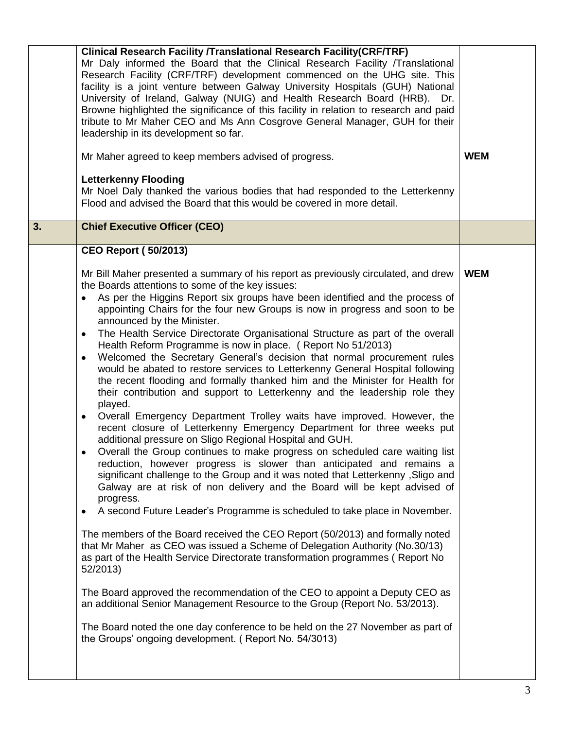|    | <b>Clinical Research Facility /Translational Research Facility (CRF/TRF)</b><br>Mr Daly informed the Board that the Clinical Research Facility /Translational<br>Research Facility (CRF/TRF) development commenced on the UHG site. This<br>facility is a joint venture between Galway University Hospitals (GUH) National<br>University of Ireland, Galway (NUIG) and Health Research Board (HRB). Dr.<br>Browne highlighted the significance of this facility in relation to research and paid<br>tribute to Mr Maher CEO and Ms Ann Cosgrove General Manager, GUH for their<br>leadership in its development so far.<br>Mr Maher agreed to keep members advised of progress.<br><b>Letterkenny Flooding</b><br>Mr Noel Daly thanked the various bodies that had responded to the Letterkenny<br>Flood and advised the Board that this would be covered in more detail.                                                                                                                                                                                                                                                                                                                                                                                                                                                                                                                                                                                                                                                                                                                                                                                                                                                                                                                                                                                                                                                                                                                                                                                                                   | <b>WEM</b> |
|----|---------------------------------------------------------------------------------------------------------------------------------------------------------------------------------------------------------------------------------------------------------------------------------------------------------------------------------------------------------------------------------------------------------------------------------------------------------------------------------------------------------------------------------------------------------------------------------------------------------------------------------------------------------------------------------------------------------------------------------------------------------------------------------------------------------------------------------------------------------------------------------------------------------------------------------------------------------------------------------------------------------------------------------------------------------------------------------------------------------------------------------------------------------------------------------------------------------------------------------------------------------------------------------------------------------------------------------------------------------------------------------------------------------------------------------------------------------------------------------------------------------------------------------------------------------------------------------------------------------------------------------------------------------------------------------------------------------------------------------------------------------------------------------------------------------------------------------------------------------------------------------------------------------------------------------------------------------------------------------------------------------------------------------------------------------------------------------------------|------------|
| 3. | <b>Chief Executive Officer (CEO)</b>                                                                                                                                                                                                                                                                                                                                                                                                                                                                                                                                                                                                                                                                                                                                                                                                                                                                                                                                                                                                                                                                                                                                                                                                                                                                                                                                                                                                                                                                                                                                                                                                                                                                                                                                                                                                                                                                                                                                                                                                                                                        |            |
|    | <b>CEO Report (50/2013)</b>                                                                                                                                                                                                                                                                                                                                                                                                                                                                                                                                                                                                                                                                                                                                                                                                                                                                                                                                                                                                                                                                                                                                                                                                                                                                                                                                                                                                                                                                                                                                                                                                                                                                                                                                                                                                                                                                                                                                                                                                                                                                 |            |
|    | Mr Bill Maher presented a summary of his report as previously circulated, and drew<br>the Boards attentions to some of the key issues:<br>As per the Higgins Report six groups have been identified and the process of<br>appointing Chairs for the four new Groups is now in progress and soon to be<br>announced by the Minister.<br>The Health Service Directorate Organisational Structure as part of the overall<br>$\bullet$<br>Health Reform Programme is now in place. (Report No 51/2013)<br>Welcomed the Secretary General's decision that normal procurement rules<br>$\bullet$<br>would be abated to restore services to Letterkenny General Hospital following<br>the recent flooding and formally thanked him and the Minister for Health for<br>their contribution and support to Letterkenny and the leadership role they<br>played.<br>Overall Emergency Department Trolley waits have improved. However, the<br>$\bullet$<br>recent closure of Letterkenny Emergency Department for three weeks put<br>additional pressure on Sligo Regional Hospital and GUH.<br>Overall the Group continues to make progress on scheduled care waiting list<br>٠<br>reduction, however progress is slower than anticipated and remains a<br>significant challenge to the Group and it was noted that Letterkenny, Sligo and<br>Galway are at risk of non delivery and the Board will be kept advised of<br>progress.<br>A second Future Leader's Programme is scheduled to take place in November.<br>$\bullet$<br>The members of the Board received the CEO Report (50/2013) and formally noted<br>that Mr Maher as CEO was issued a Scheme of Delegation Authority (No.30/13)<br>as part of the Health Service Directorate transformation programmes (Report No<br>52/2013)<br>The Board approved the recommendation of the CEO to appoint a Deputy CEO as<br>an additional Senior Management Resource to the Group (Report No. 53/2013).<br>The Board noted the one day conference to be held on the 27 November as part of<br>the Groups' ongoing development. (Report No. 54/3013) | <b>WEM</b> |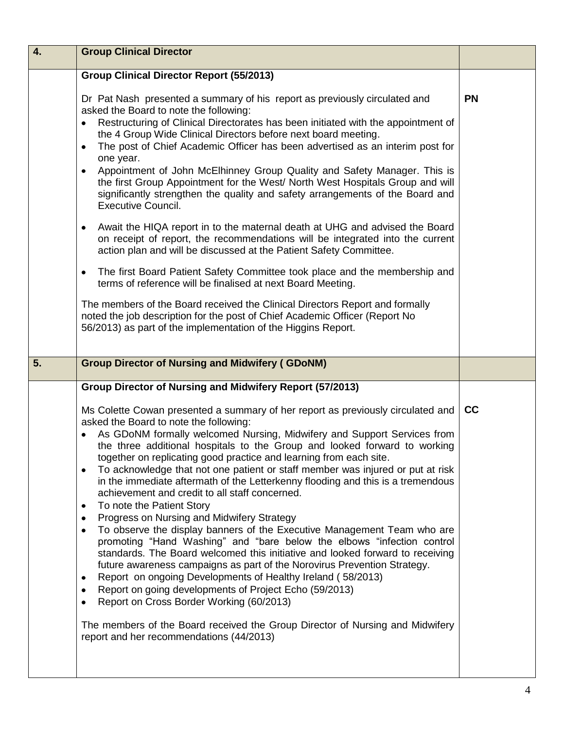| 4. | <b>Group Clinical Director</b>                                                                                                                                                                                                                                                                                                                                                                                                                                                                                                                                                                                                                                                                                                                                                                                                                                                                                                                                                                                                                                                                                                                                                                                                                                                                                                                                |           |
|----|---------------------------------------------------------------------------------------------------------------------------------------------------------------------------------------------------------------------------------------------------------------------------------------------------------------------------------------------------------------------------------------------------------------------------------------------------------------------------------------------------------------------------------------------------------------------------------------------------------------------------------------------------------------------------------------------------------------------------------------------------------------------------------------------------------------------------------------------------------------------------------------------------------------------------------------------------------------------------------------------------------------------------------------------------------------------------------------------------------------------------------------------------------------------------------------------------------------------------------------------------------------------------------------------------------------------------------------------------------------|-----------|
|    | <b>Group Clinical Director Report (55/2013)</b>                                                                                                                                                                                                                                                                                                                                                                                                                                                                                                                                                                                                                                                                                                                                                                                                                                                                                                                                                                                                                                                                                                                                                                                                                                                                                                               |           |
|    | Dr Pat Nash presented a summary of his report as previously circulated and<br>asked the Board to note the following:<br>Restructuring of Clinical Directorates has been initiated with the appointment of<br>$\bullet$<br>the 4 Group Wide Clinical Directors before next board meeting.<br>The post of Chief Academic Officer has been advertised as an interim post for<br>$\bullet$<br>one year.<br>Appointment of John McElhinney Group Quality and Safety Manager. This is<br>٠<br>the first Group Appointment for the West/ North West Hospitals Group and will<br>significantly strengthen the quality and safety arrangements of the Board and<br><b>Executive Council.</b>                                                                                                                                                                                                                                                                                                                                                                                                                                                                                                                                                                                                                                                                           | <b>PN</b> |
|    | Await the HIQA report in to the maternal death at UHG and advised the Board<br>٠<br>on receipt of report, the recommendations will be integrated into the current<br>action plan and will be discussed at the Patient Safety Committee.                                                                                                                                                                                                                                                                                                                                                                                                                                                                                                                                                                                                                                                                                                                                                                                                                                                                                                                                                                                                                                                                                                                       |           |
|    | The first Board Patient Safety Committee took place and the membership and<br>$\bullet$<br>terms of reference will be finalised at next Board Meeting.                                                                                                                                                                                                                                                                                                                                                                                                                                                                                                                                                                                                                                                                                                                                                                                                                                                                                                                                                                                                                                                                                                                                                                                                        |           |
|    | The members of the Board received the Clinical Directors Report and formally<br>noted the job description for the post of Chief Academic Officer (Report No<br>56/2013) as part of the implementation of the Higgins Report.                                                                                                                                                                                                                                                                                                                                                                                                                                                                                                                                                                                                                                                                                                                                                                                                                                                                                                                                                                                                                                                                                                                                  |           |
| 5. | <b>Group Director of Nursing and Midwifery (GDoNM)</b>                                                                                                                                                                                                                                                                                                                                                                                                                                                                                                                                                                                                                                                                                                                                                                                                                                                                                                                                                                                                                                                                                                                                                                                                                                                                                                        |           |
|    | Group Director of Nursing and Midwifery Report (57/2013)                                                                                                                                                                                                                                                                                                                                                                                                                                                                                                                                                                                                                                                                                                                                                                                                                                                                                                                                                                                                                                                                                                                                                                                                                                                                                                      |           |
|    | Ms Colette Cowan presented a summary of her report as previously circulated and<br>asked the Board to note the following:<br>As GDoNM formally welcomed Nursing, Midwifery and Support Services from<br>$\bullet$<br>the three additional hospitals to the Group and looked forward to working<br>together on replicating good practice and learning from each site.<br>To acknowledge that not one patient or staff member was injured or put at risk<br>$\bullet$<br>in the immediate aftermath of the Letterkenny flooding and this is a tremendous<br>achievement and credit to all staff concerned.<br>To note the Patient Story<br>$\bullet$<br>Progress on Nursing and Midwifery Strategy<br>٠<br>To observe the display banners of the Executive Management Team who are<br>$\bullet$<br>promoting "Hand Washing" and "bare below the elbows "infection control<br>standards. The Board welcomed this initiative and looked forward to receiving<br>future awareness campaigns as part of the Norovirus Prevention Strategy.<br>Report on ongoing Developments of Healthy Ireland (58/2013)<br>٠<br>Report on going developments of Project Echo (59/2013)<br>$\bullet$<br>Report on Cross Border Working (60/2013)<br>٠<br>The members of the Board received the Group Director of Nursing and Midwifery<br>report and her recommendations (44/2013) | cc        |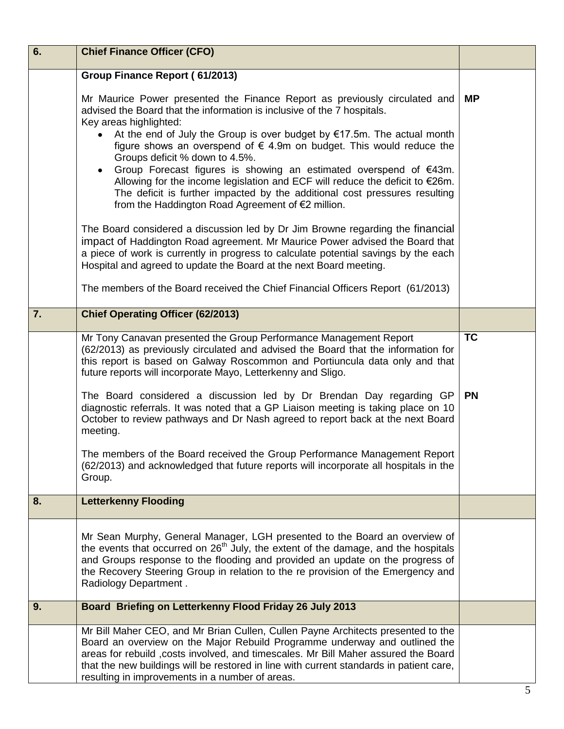| 6. | <b>Chief Finance Officer (CFO)</b>                                                                                                                                                                                                                                                                                                                                                                  |           |
|----|-----------------------------------------------------------------------------------------------------------------------------------------------------------------------------------------------------------------------------------------------------------------------------------------------------------------------------------------------------------------------------------------------------|-----------|
|    | Group Finance Report (61/2013)                                                                                                                                                                                                                                                                                                                                                                      |           |
|    | Mr Maurice Power presented the Finance Report as previously circulated and<br>advised the Board that the information is inclusive of the 7 hospitals.<br>Key areas highlighted:<br>At the end of July the Group is over budget by $£17.5m$ . The actual month<br>figure shows an overspend of $\epsilon$ 4.9m on budget. This would reduce the                                                      | <b>MP</b> |
|    | Groups deficit % down to 4.5%.<br>Group Forecast figures is showing an estimated overspend of €43m.<br>Allowing for the income legislation and ECF will reduce the deficit to $E26m$ .<br>The deficit is further impacted by the additional cost pressures resulting<br>from the Haddington Road Agreement of €2 million.                                                                           |           |
|    | The Board considered a discussion led by Dr Jim Browne regarding the financial<br>impact of Haddington Road agreement. Mr Maurice Power advised the Board that<br>a piece of work is currently in progress to calculate potential savings by the each<br>Hospital and agreed to update the Board at the next Board meeting.                                                                         |           |
|    | The members of the Board received the Chief Financial Officers Report (61/2013)                                                                                                                                                                                                                                                                                                                     |           |
| 7. | <b>Chief Operating Officer (62/2013)</b>                                                                                                                                                                                                                                                                                                                                                            |           |
|    | Mr Tony Canavan presented the Group Performance Management Report<br>(62/2013) as previously circulated and advised the Board that the information for<br>this report is based on Galway Roscommon and Portiuncula data only and that<br>future reports will incorporate Mayo, Letterkenny and Sligo.                                                                                               | <b>TC</b> |
|    | The Board considered a discussion led by Dr Brendan Day regarding GP<br>diagnostic referrals. It was noted that a GP Liaison meeting is taking place on 10<br>October to review pathways and Dr Nash agreed to report back at the next Board<br>meeting.                                                                                                                                            | <b>PN</b> |
|    | The members of the Board received the Group Performance Management Report<br>(62/2013) and acknowledged that future reports will incorporate all hospitals in the<br>Group.                                                                                                                                                                                                                         |           |
| 8. | <b>Letterkenny Flooding</b>                                                                                                                                                                                                                                                                                                                                                                         |           |
|    | Mr Sean Murphy, General Manager, LGH presented to the Board an overview of<br>the events that occurred on $26th$ July, the extent of the damage, and the hospitals<br>and Groups response to the flooding and provided an update on the progress of<br>the Recovery Steering Group in relation to the re provision of the Emergency and<br>Radiology Department.                                    |           |
| 9. | Board Briefing on Letterkenny Flood Friday 26 July 2013                                                                                                                                                                                                                                                                                                                                             |           |
|    | Mr Bill Maher CEO, and Mr Brian Cullen, Cullen Payne Architects presented to the<br>Board an overview on the Major Rebuild Programme underway and outlined the<br>areas for rebuild , costs involved, and timescales. Mr Bill Maher assured the Board<br>that the new buildings will be restored in line with current standards in patient care,<br>resulting in improvements in a number of areas. |           |